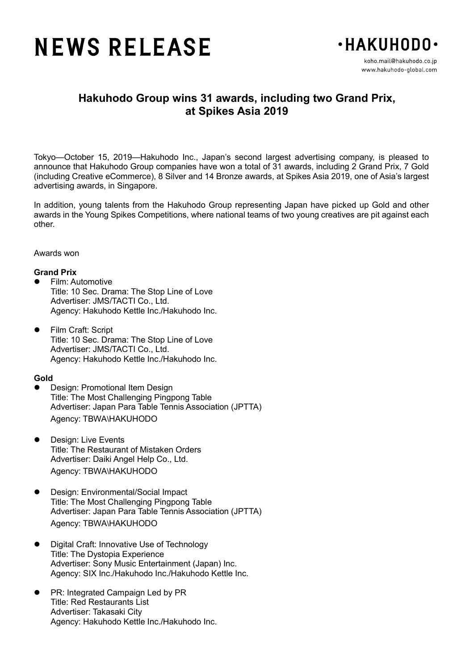# **NEWS RELEASE**



# **Hakuhodo Group wins 31 awards, including two Grand Prix, at Spikes Asia 2019**

Tokyo—October 15, 2019—Hakuhodo Inc., Japan's second largest advertising company, is pleased to announce that Hakuhodo Group companies have won a total of 31 awards, including 2 Grand Prix, 7 Gold (including Creative eCommerce), 8 Silver and 14 Bronze awards, at Spikes Asia 2019, one of Asia's largest advertising awards, in Singapore.

In addition, young talents from the Hakuhodo Group representing Japan have picked up Gold and other awards in the Young Spikes Competitions, where national teams of two young creatives are pit against each other.

Awards won

# **Grand Prix**

- **•** Film: Automotive Title: 10 Sec. Drama: The Stop Line of Love Advertiser: JMS/TACTI Co., Ltd. Agency: Hakuhodo Kettle Inc./Hakuhodo Inc.
- **•** Film Craft: Script Title: 10 Sec. Drama: The Stop Line of Love Advertiser: JMS/TACTI Co., Ltd. Agency: Hakuhodo Kettle Inc./Hakuhodo Inc.

#### **Gold**

- Design: Promotional Item Design Title: The Most Challenging Pingpong Table Advertiser: Japan Para Table Tennis Association (JPTTA) Agency: TBWA\HAKUHODO
- Design: Live Events Title: The Restaurant of Mistaken Orders Advertiser: Daiki Angel Help Co., Ltd. Agency: TBWA\HAKUHODO
- Design: Environmental/Social Impact Title: The Most Challenging Pingpong Table Advertiser: Japan Para Table Tennis Association (JPTTA) Agency: TBWA\HAKUHODO
- Digital Craft: Innovative Use of Technology Title: The Dystopia Experience Advertiser: Sony Music Entertainment (Japan) Inc. Agency: SIX Inc./Hakuhodo Inc./Hakuhodo Kettle Inc.
- PR: Integrated Campaign Led by PR Title: Red Restaurants List Advertiser: Takasaki City Agency: Hakuhodo Kettle Inc./Hakuhodo Inc.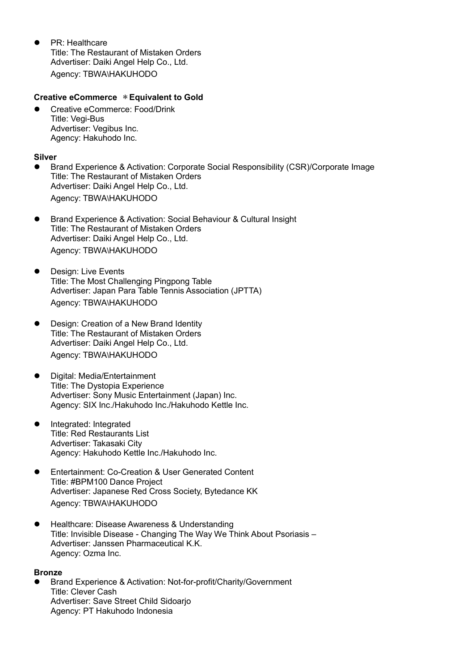PR: Healthcare Title: The Restaurant of Mistaken Orders Advertiser: Daiki Angel Help Co., Ltd. Agency: TBWA\HAKUHODO

# **Creative eCommerce** \***Equivalent to Gold**

 Creative eCommerce: Food/Drink Title: Vegi-Bus Advertiser: Vegibus Inc. Agency: Hakuhodo Inc.

# **Silver**

- Brand Experience & Activation: Corporate Social Responsibility (CSR)/Corporate Image Title: The Restaurant of Mistaken Orders Advertiser: Daiki Angel Help Co., Ltd. Agency: TBWA\HAKUHODO
- Brand Experience & Activation: Social Behaviour & Cultural Insight Title: The Restaurant of Mistaken Orders Advertiser: Daiki Angel Help Co., Ltd. Agency: TBWA\HAKUHODO
- Design: Live Events Title: The Most Challenging Pingpong Table Advertiser: Japan Para Table Tennis Association (JPTTA) Agency: TBWA\HAKUHODO
- Design: Creation of a New Brand Identity Title: The Restaurant of Mistaken Orders Advertiser: Daiki Angel Help Co., Ltd. Agency: TBWA\HAKUHODO
- **•** Digital: Media/Entertainment Title: The Dystopia Experience Advertiser: Sony Music Entertainment (Japan) Inc. Agency: SIX Inc./Hakuhodo Inc./Hakuhodo Kettle Inc.
- Integrated: Integrated Title: Red Restaurants List Advertiser: Takasaki City Agency: Hakuhodo Kettle Inc./Hakuhodo Inc.
- Entertainment: Co-Creation & User Generated Content Title: #BPM100 Dance Project Advertiser: Japanese Red Cross Society, Bytedance KK Agency: TBWA\HAKUHODO
- Healthcare: Disease Awareness & Understanding Title: Invisible Disease - Changing The Way We Think About Psoriasis – Advertiser: Janssen Pharmaceutical K.K. Agency: Ozma Inc.

#### **Bronze**

 Brand Experience & Activation: Not-for-profit/Charity/Government Title: Clever Cash Advertiser: Save Street Child Sidoarjo Agency: PT Hakuhodo Indonesia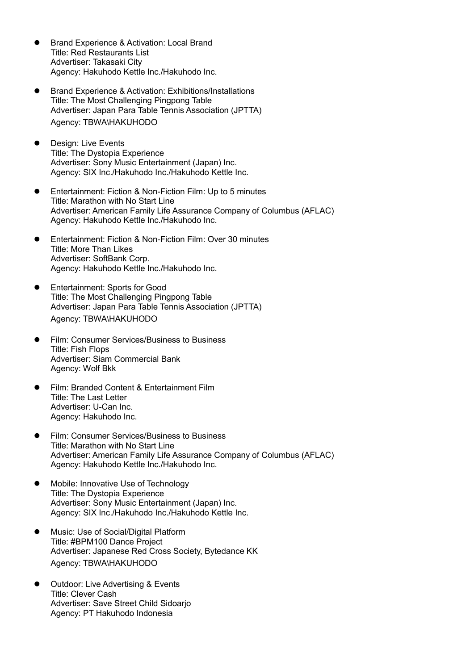- Brand Experience & Activation: Local Brand Title: Red Restaurants List Advertiser: Takasaki City Agency: Hakuhodo Kettle Inc./Hakuhodo Inc.
- Brand Experience & Activation: Exhibitions/Installations Title: The Most Challenging Pingpong Table Advertiser: Japan Para Table Tennis Association (JPTTA) Agency: TBWA\HAKUHODO
- Design: Live Events Title: The Dystopia Experience Advertiser: Sony Music Entertainment (Japan) Inc. Agency: SIX Inc./Hakuhodo Inc./Hakuhodo Kettle Inc.
- Entertainment: Fiction & Non-Fiction Film: Up to 5 minutes Title: Marathon with No Start Line Advertiser: American Family Life Assurance Company of Columbus (AFLAC) Agency: Hakuhodo Kettle Inc./Hakuhodo Inc.
- Entertainment: Fiction & Non-Fiction Film: Over 30 minutes Title: More Than Likes Advertiser: SoftBank Corp. Agency: Hakuhodo Kettle Inc./Hakuhodo Inc.
- **•** Entertainment: Sports for Good Title: The Most Challenging Pingpong Table Advertiser: Japan Para Table Tennis Association (JPTTA) Agency: TBWA\HAKUHODO
- **•** Film: Consumer Services/Business to Business Title: Fish Flops Advertiser: Siam Commercial Bank Agency: Wolf Bkk
- Film: Branded Content & Entertainment Film Title: The Last Letter Advertiser: U-Can Inc. Agency: Hakuhodo Inc.
- **•** Film: Consumer Services/Business to Business Title: Marathon with No Start Line Advertiser: American Family Life Assurance Company of Columbus (AFLAC) Agency: Hakuhodo Kettle Inc./Hakuhodo Inc.
- Mobile: Innovative Use of Technology Title: The Dystopia Experience Advertiser: Sony Music Entertainment (Japan) Inc. Agency: SIX Inc./Hakuhodo Inc./Hakuhodo Kettle Inc.
- **•** Music: Use of Social/Digital Platform Title: #BPM100 Dance Project Advertiser: Japanese Red Cross Society, Bytedance KK Agency: TBWA\HAKUHODO
- Outdoor: Live Advertising & Events Title: Clever Cash Advertiser: Save Street Child Sidoarjo Agency: PT Hakuhodo Indonesia